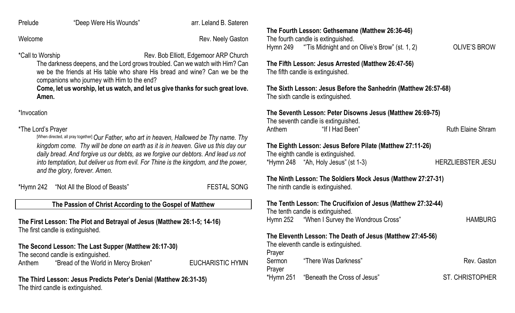Prelude "Deep Were His Wounds" arr. Leland B. Sateren

Welcome **Rev. Neely Gaston** 

\*Call to Worship **Rev. Bob Elliott, Edgemoor ARP Church** 

The darkness deepens, and the Lord grows troubled. Can we watch with Him? Can we be the friends at His table who share His bread and wine? Can we be the companions who journey with Him to the end?

**Come, let us worship, let us watch, and let us give thanks for such great love. Amen.**

\*Invocation

#### \*The Lord's Prayer

[When directed, all pray together] *Our Father, who art in heaven, Hallowed be Thy name. Thy kingdom come. Thy will be done on earth as it is in heaven. Give us this day our daily bread. And forgive us our debts, as we forgive our debtors. And lead us not into temptation, but deliver us from evil. For Thine is the kingdom, and the power, and the glory, forever. Amen.*

| *Hymn 242 | "Not All the Blood of Beasts" |  |
|-----------|-------------------------------|--|
|           |                               |  |

**FESTAL SONG** 

#### **The Passion of Christ According to the Gospel of Matthew**

**The First Lesson: The Plot and Betrayal of Jesus (Matthew 26:1-5; 14-16)** The first candle is extinguished.

**The Second Lesson: The Last Supper (Matthew 26:17-30)** The second candle is extinguished. Anthem "Bread of the World in Mercy Broken" EUCHARISTIC HYMN

#### **The Third Lesson: Jesus Predicts Peter's Denial (Matthew 26:31-35)** The third candle is extinguished.

**The Fourth Lesson: Gethsemane (Matthew 26:36-46)** The fourth candle is extinguished. Hymn 249 "Tis Midnight and on Olive's Brow" (st. 1, 2) OLIVE'S BROW

**The Fifth Lesson: Jesus Arrested (Matthew 26:47-56)** The fifth candle is extinguished.

**The Sixth Lesson: Jesus Before the Sanhedrin (Matthew 26:57-68)** The sixth candle is extinguished.

#### **The Seventh Lesson: Peter Disowns Jesus (Matthew 26:69-75)**

The seventh candle is extinguished. Anthem "If I Had Been" Ruth Elaine Shram

#### **The Eighth Lesson: Jesus Before Pilate (Matthew 27:11-26)** The eighth candle is extinguished.

\*Hymn 248 "Ah, Holy Jesus" (st 1-3) HERZLIEBSTER JESU

#### **The Ninth Lesson: The Soldiers Mock Jesus (Matthew 27:27-31)** The ninth candle is extinguished.

|                     | The Tenth Lesson: The Crucifixion of Jesus (Matthew 27:32-44)<br>The tenth candle is extinguished.<br>Hymn 252 "When I Survey the Wondrous Cross" | <b>HAMBURG</b>         |
|---------------------|---------------------------------------------------------------------------------------------------------------------------------------------------|------------------------|
|                     | The Eleventh Lesson: The Death of Jesus (Matthew 27:45-56)<br>The eleventh candle is extinguished.                                                |                        |
| Prayer<br>Sermon    | "There Was Darkness"                                                                                                                              | Rev. Gaston            |
| Prayer<br>*Hymn 251 | "Beneath the Cross of Jesus"                                                                                                                      | <b>ST. CHRISTOPHER</b> |